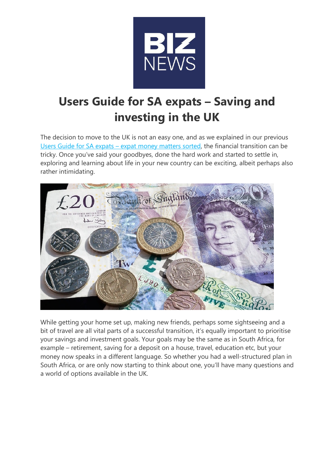

# Users Guide for SA expats – Saving and investing in the UK

The decision to move to the UK is not an easy one, and as we explained in our previous Users Guide for SA expats – expat money matters sorted, the financial transition can be tricky. Once you've said your goodbyes, done the hard work and started to settle in, exploring and learning about life in your new country can be exciting, albeit perhaps also rather intimidating.



While getting your home set up, making new friends, perhaps some sightseeing and a bit of travel are all vital parts of a successful transition, it's equally important to prioritise your savings and investment goals. Your goals may be the same as in South Africa, for example – retirement, saving for a deposit on a house, travel, education etc, but your money now speaks in a different language. So whether you had a well-structured plan in South Africa, or are only now starting to think about one, you'll have many questions and a world of options available in the UK.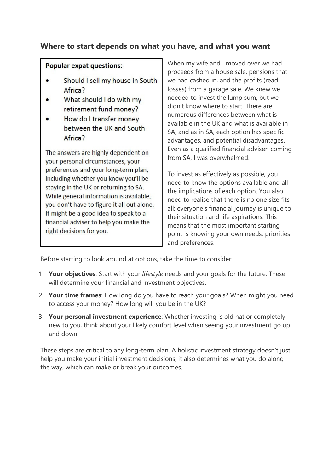## Where to start depends on what you have, and what you want

#### **Popular expat questions:**

- Should I sell my house in South Africa?
- What should I do with my retirement fund money?
- How do I transfer money between the UK and South Africa?

The answers are highly dependent on your personal circumstances, your preferences and your long-term plan, including whether you know you'll be staying in the UK or returning to SA. While general information is available, you don't have to figure it all out alone. It might be a good idea to speak to a financial adviser to help you make the right decisions for you.

When my wife and I moved over we had proceeds from a house sale, pensions that we had cashed in, and the profits (read losses) from a garage sale. We knew we needed to invest the lump sum, but we didn't know where to start. There are numerous differences between what is available in the UK and what is available in SA, and as in SA, each option has specific advantages, and potential disadvantages. Even as a qualified financial adviser, coming from SA, I was overwhelmed.

To invest as effectively as possible, you need to know the options available and all the implications of each option. You also need to realise that there is no one size fits all; everyone's financial journey is unique to their situation and life aspirations. This means that the most important starting point is knowing your own needs, priorities and preferences.

Before starting to look around at options, take the time to consider:

- 1. Your objectives: Start with your *lifestyle* needs and your goals for the future. These will determine your financial and investment objectives.
- 2. Your time frames: How long do you have to reach your goals? When might you need to access your money? How long will you be in the UK?
- 3. Your personal investment experience: Whether investing is old hat or completely new to you, think about your likely comfort level when seeing your investment go up and down.

These steps are critical to any long-term plan. A holistic investment strategy doesn't just help you make your initial investment decisions, it also determines what you do along the way, which can make or break your outcomes.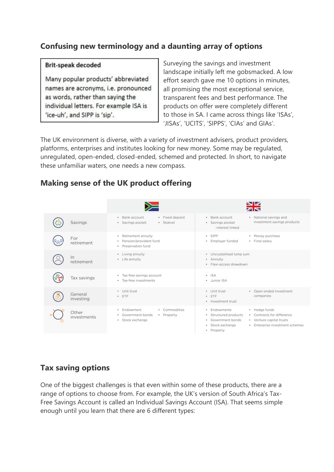# Confusing new terminology and a daunting array of options

#### **Brit-speak decoded**

Many popular products' abbreviated names are acronyms, i.e. pronounced as words, rather than saying the individual letters. For example ISA is 'ice-uh', and SIPP is 'sip'.

Surveying the savings and investment landscape initially left me gobsmacked. A low effort search gave me 10 options in minutes, all promising the most exceptional service, transparent fees and best performance. The products on offer were completely different to those in SA. I came across things like 'ISAs', 'JISAs', 'UCITS', 'SIPPS', 'CIAs' and GIAs'.

The UK environment is diverse, with a variety of investment advisers, product providers, platforms, enterprises and institutes looking for new money. Some may be regulated, unregulated, open-ended, closed-ended, schemed and protected. In short, to navigate these unfamiliar waters, one needs a new compass.

#### **NIZ** zis · Fixed deposit • National savings and · Bank account · Bank account Investment savings products Savings · Savings pocket · Stokvel · Savings pocket -interest linked · Retirement annuity  $\cdot$  SIPP · Money purchase For · Pension/provident fund · Final salary · Employer funded retirement · Preservation fund • Living annuity • Uncrystallised lump sum  $\ln$ · Life annuity · Annuity retirement · Flexi-access drawdown · Tax-free savings account  $\cdot$  ISA Tax savings · Tax-free investments · Junior ISA • Unit trust • Unit trust · Open-ended investment General  $-$  ETF  $FTF$ companies investing · Investment trust · Endowment · Commodities · Endowments · Hedge funds Other • Government bonds • Property · Structured products • Contracts for difference investments · Stock exchange · Government bonds • Venture capital trusts · Stock exchange · Enterprise investment schemes · Property

# Making sense of the UK product offering

### Tax saving options

One of the biggest challenges is that even within some of these products, there are a range of options to choose from. For example, the UK's version of South Africa's Tax-Free Savings Account is called an Individual Savings Account (ISA). That seems simple enough until you learn that there are 6 different types: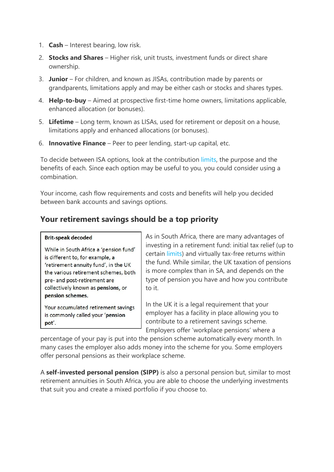- 1. **Cash** Interest bearing, low risk.
- 2. Stocks and Shares Higher risk, unit trusts, investment funds or direct share ownership.
- 3. Junior For children, and known as JISAs, contribution made by parents or grandparents, limitations apply and may be either cash or stocks and shares types.
- 4. Help-to-buy Aimed at prospective first-time home owners, limitations applicable, enhanced allocation (or bonuses).
- 5. Lifetime Long term, known as LISAs, used for retirement or deposit on a house, limitations apply and enhanced allocations (or bonuses).
- 6. **Innovative Finance** Peer to peer lending, start-up capital, etc.

To decide between ISA options, look at the contribution limits, the purpose and the benefits of each. Since each option may be useful to you, you could consider using a combination.

Your income, cash flow requirements and costs and benefits will help you decided between bank accounts and savings options.

#### Your retirement savings should be a top priority

| <b>DITESPECIA GELDUCU</b> |  |  |                           |  |
|---------------------------|--|--|---------------------------|--|
|                           |  |  | While in South Africa a ' |  |

**Rrit-speak decoded** 

pension fund' is different to, for example, a 'retirement annuity fund', in the UK the various retirement schemes, both pre- and post-retirement are collectively known as pensions, or pension schemes.

Your accumulated retirement savings is commonly called your 'pension pot'.

As in South Africa, there are many advantages of investing in a retirement fund: initial tax relief (up to certain limits) and virtually tax-free returns within the fund. While similar, the UK taxation of pensions is more complex than in SA, and depends on the type of pension you have and how you contribute to it.

In the UK it is a legal requirement that your employer has a facility in place allowing you to contribute to a retirement savings scheme. Employers offer 'workplace pensions' where a

percentage of your pay is put into the pension scheme automatically every month. In many cases the employer also adds money into the scheme for you. Some employers offer personal pensions as their workplace scheme.

A self-invested personal pension (SIPP) is also a personal pension but, similar to most retirement annuities in South Africa, you are able to choose the underlying investments that suit you and create a mixed portfolio if you choose to.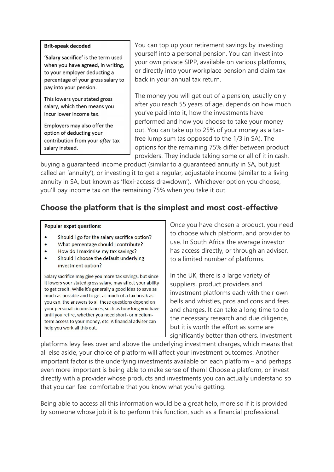#### **Brit-speak decoded**

'Salary sacrifice' is the term used when you have agreed, in writing, to your employer deducting a percentage of your gross salary to pay into your pension.

This lowers your stated gross salary, which then means you incur lower income tax.

Employers may also offer the option of deducting your contribution from your after tax salary instead.

You can top up your retirement savings by investing yourself into a personal pension. You can invest into your own private SIPP, available on various platforms, or directly into your workplace pension and claim tax back in your annual tax return.

The money you will get out of a pension, usually only after you reach 55 years of age, depends on how much you've paid into it, how the investments have performed and how you choose to take your money out. You can take up to 25% of your money as a taxfree lump sum (as opposed to the 1/3 in SA). The options for the remaining 75% differ between product providers. They include taking some or all of it in cash,

buying a guaranteed income product (similar to a guaranteed annuity in SA, but just called an 'annuity'), or investing it to get a regular, adjustable income (similar to a living annuity in SA, but known as 'flexi-access drawdown'). Whichever option you choose, you'll pay income tax on the remaining 75% when you take it out.

# Choose the platform that is the simplest and most cost-effective

#### **Popular expat questions:**

- $\bullet$ Should I go for the salary sacrifice option?
- What percentage should I contribute?  $\bullet$
- How do I maximise my tax savings?  $\bullet$
- Should I choose the default underlying investment option?

Salary sacrifice may give you more tax savings, but since it lowers your stated gross salary, may affect your ability to get credit. While it's generally a good idea to save as much as possible and to get as much of a tax break as you can, the answers to all these questions depend on your personal circumstances, such as how long you have until you retire, whether you need short- or mediumterm access to your money, etc. A financial adviser can help you work all this out.

Once you have chosen a product, you need to choose which platform, and provider to use. In South Africa the average investor has access directly, or through an adviser, to a limited number of platforms.

In the UK, there is a large variety of suppliers, product providers and investment platforms each with their own bells and whistles, pros and cons and fees and charges. It can take a long time to do the necessary research and due diligence, but it is worth the effort as some are significantly better than others. Investment

platforms levy fees over and above the underlying investment charges, which means that all else aside, your choice of platform will affect your investment outcomes. Another important factor is the underlying investments available on each platform – and perhaps even more important is being able to make sense of them! Choose a platform, or invest directly with a provider whose products and investments you can actually understand so that you can feel comfortable that you know what you're getting.

Being able to access all this information would be a great help, more so if it is provided by someone whose job it is to perform this function, such as a financial professional.